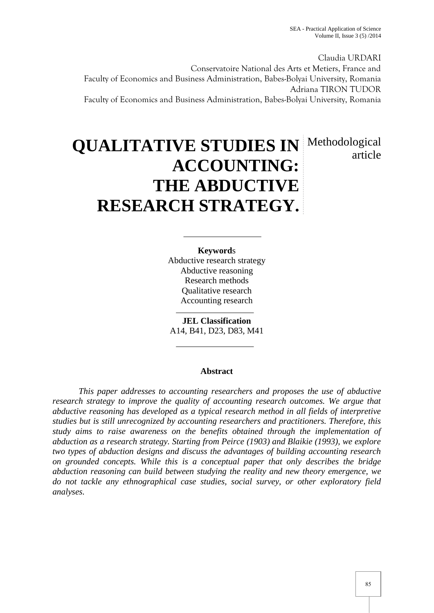article

Claudia URDARI Conservatoire National des Arts et Metiers, France and Faculty of Economics and Business Administration, Babes-Bolyai University, Romania Adriana TIRON TUDOR Faculty of Economics and Business Administration, Babes-Bolyai University, Romania

# **QUALITATIVE STUDIES IN** Methodological **ACCOUNTING: THE ABDUCTIVE RESEARCH STRATEGY.**

**Keyword**s Abductive research strategy Abductive reasoning Research methods Qualitative research Accounting research

**JEL Classification** A14, B41, D23, D83, M41

## **Abstract**

*This paper addresses to accounting researchers and proposes the use of abductive research strategy to improve the quality of accounting research outcomes. We argue that abductive reasoning has developed as a typical research method in all fields of interpretive studies but is still unrecognized by accounting researchers and practitioners. Therefore, this study aims to raise awareness on the benefits obtained through the implementation of abduction as a research strategy. Starting from Peirce (1903) and Blaikie (1993), we explore two types of abduction designs and discuss the advantages of building accounting research on grounded concepts. While this is a conceptual paper that only describes the bridge abduction reasoning can build between studying the reality and new theory emergence, we do not tackle any ethnographical case studies, social survey, or other exploratory field analyses.*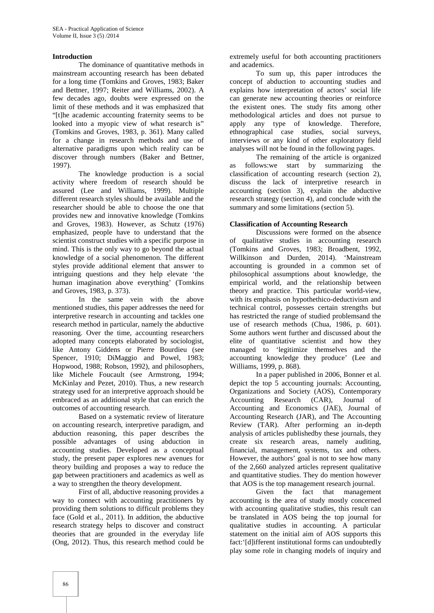### **Introduction**

The dominance of quantitative methods in mainstream accounting research has been debated for a long time (Tomkins and Groves, 1983; Baker and Bettner, 1997; Reiter and Williams, 2002). A few decades ago, doubts were expressed on the limit of these methods and it was emphasized that "[t]he academic accounting fraternity seems to be looked into a myopic view of what research is" (Tomkins and Groves, 1983, p. 361). Many called for a change in research methods and use of alternative paradigms upon which reality can be discover through numbers (Baker and Bettner, 1997).

The knowledge production is a social activity where freedom of research should be assured (Lee and Williams, 1999). Multiple different research styles should be available and the researcher should be able to choose the one that provides new and innovative knowledge (Tomkins and Groves, 1983). However, as Schutz (1976) emphasized, people have to understand that the scientist construct studies with a specific purpose in mind. This is the only way to go beyond the actual knowledge of a social phenomenon. The different styles provide additional element that answer to intriguing questions and they help elevate 'the human imagination above everything' (Tomkins and Groves, 1983, p. 373).

In the same vein with the above mentioned studies, this paper addresses the need for interpretive research in accounting and tackles one research method in particular, namely the abductive reasoning. Over the time, accounting researchers adopted many concepts elaborated by sociologist, like Antony Giddens or Pierre Bourdieu (see Spencer, 1910; DiMaggio and Powel, 1983; Hopwood, 1988; Robson, 1992), and philosophers, like Michele Foucault (see Armstrong, 1994; McKinlay and Pezet, 2010). Thus, a new research strategy used for an interpretive approach should be embraced as an additional style that can enrich the outcomes of accounting research.

Based on a systematic review of literature on accounting research, interpretive paradigm, and abduction reasoning, this paper describes the possible advantages of using abduction in accounting studies. Developed as a conceptual study, the present paper explores new avenues for theory building and proposes a way to reduce the gap between practitioners and academics as well as a way to strengthen the theory development.

First of all, abductive reasoning provides a way to connect with accounting practitioners by providing them solutions to difficult problems they face (Gold et al., 2011). In addition, the abductive research strategy helps to discover and construct theories that are grounded in the everyday life (Ong, 2012). Thus, this research method could be

extremely useful for both accounting practitioners and academics.

To sum up, this paper introduces the concept of abduction to accounting studies and explains how interpretation of actors' social life can generate new accounting theories or reinforce the existent ones. The study fits among other methodological articles and does not pursue to apply any type of knowledge. Therefore, ethnographical case studies, social surveys, interviews or any kind of other exploratory field analyses will not be found in the following pages.

The remaining of the article is organized as follows:we start by summarizing the classification of accounting research (section 2), discuss the lack of interpretive research in accounting (section 3), explain the abductive research strategy (section 4), and conclude with the summary and some limitations (section 5).

#### **Classification of Accounting Research**

Discussions were formed on the absence of qualitative studies in accounting research (Tomkins and Groves, 1983; Broadbent, 1992, Willkinson and Durden, 2014). 'Mainstream accounting is grounded in a common set of philosophical assumptions about knowledge, the empirical world, and the relationship between theory and practice. This particular world-view, with its emphasis on hypothethico-deductivism and technical control, possesses certain strengths but has restricted the range of studied problemsand the use of research methods (Chua, 1986, p. 601). Some authors went further and discussed about the elite of quantitative scientist and how they managed to 'legitimize themselves and the accounting knowledge they produce' (Lee and Williams, 1999, p. 868).

In a paper published in 2006, Bonner et al. depict the top 5 accounting journals: Accounting, Organizations and Society (AOS), Contemporary Accounting Research (CAR), Journal of Accounting and Economics (JAE), Journal of Accounting Research (JAR), and The Accounting Review (TAR). After performing an in-depth analysis of articles publishedby these journals, they create six research areas, namely auditing, financial, management, systems, tax and others. However, the authors' goal is not to see how many of the 2,660 analyzed articles represent qualitative and quantitative studies. They do mention however that AOS is the top management research journal.

Given the fact that management accounting is the area of study mostly concerned with accounting qualitative studies, this result can be translated in AOS being the top journal for qualitative studies in accounting. A particular statement on the initial aim of AOS supports this fact:'[d]ifferent institutional forms can undoubtedly play some role in changing models of inquiry and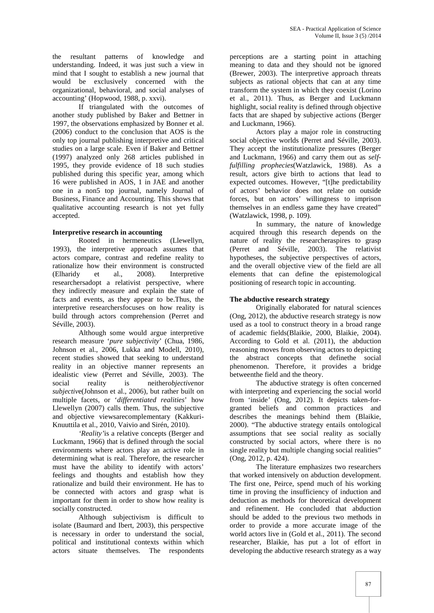the resultant patterns of knowledge and understanding. Indeed, it was just such a view in mind that I sought to establish a new journal that would be exclusively concerned with the organizational, behavioral, and social analyses of accounting' (Hopwood, 1988, p. xxvi).

If triangulated with the outcomes of another study published by Baker and Bettner in 1997, the observations emphasized by Bonner et al. (2006) conduct to the conclusion that AOS is the only top journal publishing interpretive and critical studies on a large scale. Even if Baker and Bettner (1997) analyzed only 268 articles published in 1995, they provide evidence of 18 such studies published during this specific year, among which 16 were published in AOS, 1 in JAE and another one in a non5 top journal, namely Journal of Business, Finance and Accounting. This shows that qualitative accounting research is not yet fully accepted.

## **Interpretive research in accounting**

Rooted in hermeneutics (Llewellyn, 1993), the interpretive approach assumes that actors compare, contrast and redefine reality to rationalize how their environment is constructed (Elharidy et al., 2008). Interpretive researchersadopt a relativist perspective, where they indirectly measure and explain the state of facts and events, as they appear to be.Thus, the interpretive researchersfocuses on how reality is build through actors comprehension (Perret and Séville, 2003).

Although some would argue interpretive research measure '*pure subjectivity*' (Chua, 1986, Johnson et al., 2006, Lukka and Modell, 2010), recent studies showed that seeking to understand reality in an objective manner represents an idealistic view (Perret and Séville, 2003). The social reality is neither*objective*nor *subjectiv*e(Johnson et al., 2006), but rather built on multiple facets, or '*differentiated realities*' how Llewellyn (2007) calls them. Thus, the subjective and objective viewsarecomplementary (Kakkuri- Knuuttila et al., 2010, Vaivio and Sirén, 2010).

*'Reality'*is a relative concepts (Berger and Luckmann, 1966) that is defined through the social environments where actors play an active role in determining what is real. Therefore, the researcher must have the ability to identify with actors' feelings and thoughts and establish how they rationalize and build their environment. He has to be connected with actors and grasp what is important for them in order to show how reality is socially constructed.

Although subjectivism is difficult to isolate (Baumard and Ibert, 2003), this perspective is necessary in order to understand the social, political and institutional contexts within which actors situate themselves. The respondents

perceptions are a starting point in attaching meaning to data and they should not be ignored (Brewer, 2003). The interpretive approach threats subjects as rational objects that can at any time transform the system in which they coexist (Lorino et al., 2011). Thus, as Berger and Luckmann highlight, social reality is defined through objective facts that are shaped by subjective actions (Berger and Luckmann, 1966).

Actors play a major role in constructing social objective worlds (Perret and Séville, 2003). They accept the institutionalize pressures (Berger and Luckmann, 1966) and carry them out as *selffulfilling prophecies*(Watzlawick, 1988). As a result, actors give birth to actions that lead to expected outcomes. However, "[t]he predictability of actors' behavior does not relate on outside forces, but on actors' willingness to imprison themselves in an endless game they have created" (Watzlawick, 1998, p. 109).

In summary, the nature of knowledge acquired through this research depends on the nature of reality the researcheraspires to grasp (Perret and Séville, 2003). The relativist hypotheses, the subjective perspectives of actors, and the overall objective view of the field are all elements that can define the epistemological positioning of research topic in accounting.

## **The abductive research strategy**

Originally elaborated for natural sciences (Ong, 2012), the abductive research strategy is now used as a tool to construct theory in a broad range of academic fields(Blaikie, 2000, Blaikie, 2004). According to Gold et al. (2011), the abduction reasoning moves from observing actors to depicting the abstract concepts that definethe social phenomenon. Therefore, it provides a bridge betweenthe field and the theory.

The abductive strategy is often concerned with interpreting and experiencing the social world from 'inside' (Ong, 2012). It depicts taken-for granted beliefs and common practices and describes the meanings behind them (Blaikie, 2000). "The abductive strategy entails ontological assumptions that see social reality as socially constructed by social actors, where there is no single reality but multiple changing social realities" (Ong, 2012, p. 424).

The literature emphasizes two researchers that worked intensively on abduction development. The first one, Peirce, spend much of his working time in proving the insufficiency of induction and deduction as methods for theoretical development and refinement. He concluded that abduction should be added to the previous two methods in order to provide a more accurate image of the world actors live in (Gold et al., 2011). The second researcher, Blaikie, has put a lot of effort in developing the abductive research strategy as a way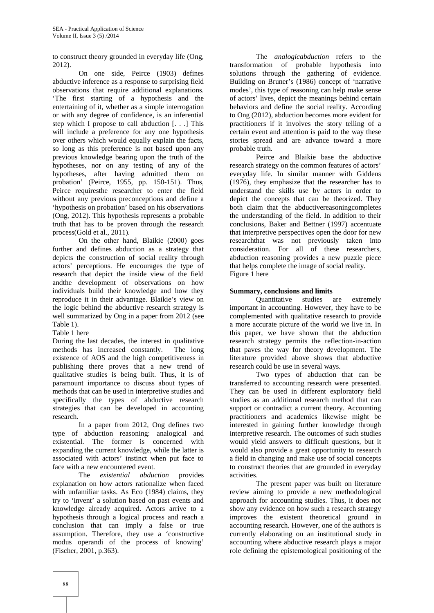to construct theory grounded in everyday life (Ong, 2012).

On one side, Peirce (1903) defines abductive inference as a response to surprising field observations that require additional explanations. 'The first starting of a hypothesis and the entertaining of it, whether as a simple interrogation or with any degree of confidence, is an inferential step which I propose to call abduction [. . .] This will include a preference for any one hypothesis over others which would equally explain the facts, so long as this preference is not based upon any previous knowledge bearing upon the truth of the hypotheses, nor on any testing of any of the hypotheses, after having admitted them on probation' (Peirce, 1955, pp. 150-151). Thus, Peirce requiresthe researcher to enter the field without any previous preconceptions and define a 'hypothesis on probation' based on his observations (Ong, 2012). This hypothesis represents a probable truth that has to be proven through the research process(Gold et al., 2011).

On the other hand, Blaikie (2000) goes further and defines abduction as a strategy that depicts the construction of social reality through actors' perceptions. He encourages the type of research that depict the inside view of the field andthe development of observations on how individuals build their knowledge and how they reproduce it in their advantage. Blaikie's view on the logic behind the abductive research strategy is well summarized by Ong in a paper from 2012 (see Table 1).

Table 1 here

During the last decades, the interest in qualitative methods has increased constantly. The long existence of AOS and the high competitiveness in publishing there proves that a new trend of qualitative studies is being built. Thus, it is of paramount importance to discuss about types of methods that can be used in interpretive studies and specifically the types of abductive research strategies that can be developed in accounting research.

In a paper from 2012, Ong defines two type of abduction reasoning: analogical and existential. The former is concerned with expanding the current knowledge, while the latter is associated with actors' instinct when put face to face with a new encountered event.

The *existential abduction* provides explanation on how actors rationalize when faced with unfamiliar tasks. As Eco (1984) claims, they try to 'invent' a solution based on past events and knowledge already acquired. Actors arrive to a hypothesis through a logical process and reach a conclusion that can imply a false or true assumption. Therefore, they use a 'constructive modus operandi of the process of knowing' (Fischer, 2001, p.363).

The *analogicabduction* refers to the transformation of probable hypothesis into solutions through the gathering of evidence. Building on Bruner's (1986) concept of 'narrative modes', this type of reasoning can help make sense of actors' lives, depict the meanings behind certain behaviors and define the social reality. According to Ong (2012), abduction becomes more evident for practitioners if it involves the story telling of a certain event and attention is paid to the way these stories spread and are advance toward a more probable truth.

Peirce and Blaikie base the abductive research strategy on the common features of actors' everyday life. In similar manner with Giddens (1976), they emphasize that the researcher has to understand the skills use by actors in order to depict the concepts that can be theorized. They both claim that the abductivereasoningcompletes the understanding of the field. In addition to their conclusions, Baker and Bettner (1997) accentuate that interpretive perspectives open the door for new researchthat was not previously taken into consideration. For all of these researchers, abduction reasoning provides a new puzzle piece that helps complete the image of social reality. Figure 1 here

## **Summary, conclusions and limits**

Quantitative studies are extremely important in accounting. However, they have to be complemented with qualitative research to provide a more accurate picture of the world we live in. In this paper, we have shown that the abduction research strategy permits the reflection-in-action that paves the way for theory development. The literature provided above shows that abductive research could be use in several ways.

Two types of abduction that can be transferred to accounting research were presented. They can be used in different exploratory field studies as an additional research method that can support or contradict a current theory. Accounting practitioners and academics likewise might be interested in gaining further knowledge through interpretive research. The outcomes of such studies would yield answers to difficult questions, but it would also provide a great opportunity to research a field in changing and make use of social concepts to construct theories that are grounded in everyday activities.

The present paper was built on literature review aiming to provide a new methodological approach for accounting studies. Thus, it does not show any evidence on how such a research strategy improves the existent theoretical ground in accounting research. However, one of the authors is currently elaborating on an institutional study in accounting where abductive research plays a major role defining the epistemological positioning of the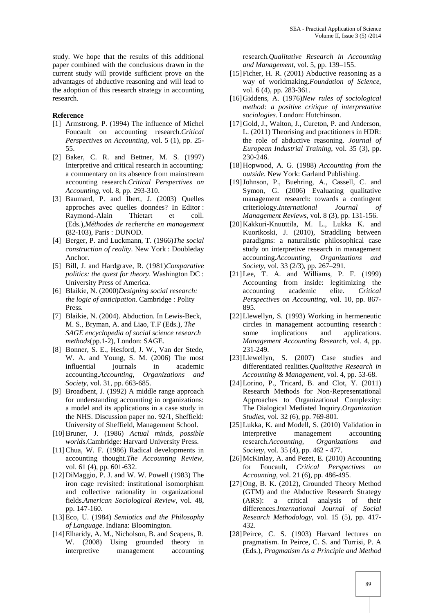study. We hope that the results of this additional paper combined with the conclusions drawn in the current study will provide sufficient prove on the advantages of abductive reasoning and will lead to the adoption of this research strategy in accounting research.

### **Reference**

- [1] Armstrong, P. (1994) The influence of Michel Foucault on accounting research.*Critical Perspectives on Accounting,* vol. 5 (1), pp. 25- 55.
- [2] Baker, C. R. and Bettner, M. S. (1997) Interpretive and critical research in accounting: a commentary on its absence from mainstream accounting research.*Critical Perspectives on Accounting*, vol. 8, pp. 293-310.
- [3] Baumard, P. and Ibert, J. (2003) Quelles approches avec quelles données? In Editor : Raymond-Alain Thietart et coll. (Eds.),*Méthodes de recherche en management* **(**82-103), Paris : DUNOD.
- [4] Berger, P. and Luckmann, T. (1966)*The social construction of reality*. New York : Doubleday Anchor.
- [5] Bill, J. and Hardgrave, R. (1981)*Comparative politics: the quest for theory*. Washington DC : University Press of America.
- [6] Blaikie, N. (2000)*Designing social research: the logic of anticipation*. Cambridge : Polity Press.
- [7] Blaikie, N. (2004). Abduction. In Lewis-Beck, M. S., Bryman, A. and Liao, T.F (Eds.), *The SAGE encyclopedia of social science research methods*(pp.1-2), London: SAGE.
- [8] Bonner, S. E., Hesford, J. W., Van der Stede, W. A. and Young, S. M. (2006) The most influential journals in academic accounting.*Accounting, Organizations and Society,* vol. 31, pp. 663-685.
- [9] Broadbent, J. (1992) A middle range approach for understanding accounting in organizations: a model and its applications in a case study in the NHS. Discussion paper no. 92/1, Sheffield: University of Sheffield, Management School.
- [10]Bruner, J. (1986) *Actual minds, possible worlds*.Cambridge: Harvard University Press.
- [11]Chua, W. F. (1986) Radical developments in accounting thought.*The Accounting Review*, vol. 61 (4), pp. 601-632.
- [12] DiMaggio, P. J. and W. W. Powell (1983) The iron cage revisited: institutional isomorphism and collective rationality in organizational fields.*American Sociological Review*, vol. 48, pp. 147-160.
- [13]Eco, U. (1984) *Semiotics and the Philosophy of Language*. Indiana: Bloomington.
- [14]Elharidy, A. M., Nicholson, B. and Scapens, R. W. (2008) Using grounded theory in interpretive management accounting

research.*Qualitative Research in Accounting and Management*, vol. 5, pp. 139–155.

- [15] Ficher, H. R. (2001) Abductive reasoning as a way of worldmaking.*Foundation of Science*, vol. 6 (4), pp. 283-361.
- [16]Giddens, A. (1976)*New rules of sociological method: a positive critique of interpretative sociologies*. London: Hutchinson.
- [17]Gold, J., Walton, J., Cureton, P. and Anderson, L. (2011) Theorising and practitioners in HDR: the role of abductive reasoning. *Journal of European Industrial Training*, vol. 35 (3), pp. 230-246.
- [18]Hopwood, A. G. (1988) *Accounting from the outside*. New York: Garland Publishing.
- [19]Johnson, P., Buehring, A., Cassell, C. and Symon, G. (2006) Evaluating qualitative management research: towards a contingent criteriology.*International Journal Management Reviews*, vol. 8 (3), pp. 131-156.
- [20]Kakkuri-Knuuttila, M. L., Lukka K. and Kuorikoski, J. (2010), Straddling between paradigms: a naturalistic philosophical case study on interpretive research in management accounting.*Accounting, Organizations and Society*, vol. 33 (2/3), pp. 267–291.
- [21]Lee, T. A. and Williams, P. F. (1999) Accounting from inside: legitimizing the accounting academic elite. *Critical Perspectives on Accounting,* vol. 10, pp. 867- 895.
- [22]Llewellyn, S. (1993) Working in hermeneutic circles in management accounting research : some implications and applications. *Management Accounting Research*, vol. 4, pp. 231-249.
- [23] Llewellyn, S. (2007) Case studies and differentiated realities.*Qualitative Research in Accounting & Management*, vol. 4, pp. 53-68.
- [24]Lorino, P., Tricard, B. and Clot, Y. (2011) Research Methods for Non-Representational Approaches to Organizational Complexity: The Dialogical Mediated Inquiry.*Organization Studies*, vol. 32 (6), pp. 769-801.
- [25]Lukka, K. and Modell, S. (2010) Validation in interpretive management accounting research.*Accounting, Organizations and Society*, vol. 35 (4), pp. 462 - 477.
- [26] McKinlay, A. and Pezet, E. (2010) Accounting for Foucault, *Critical Perspectives on Accounting,* vol. 21 (6), pp. 486-495.
- [27]Ong, B. K. (2012), Grounded Theory Method (GTM) and the Abductive Research Strategy (ARS): a critical analysis of their differences.*International Journal of Social Research Methodology*, vol. 15 (5), pp. 417- 432.
- [28] Peirce, C. S. (1903) Harvard lectures on pragmatism. In Peirce, C. S. and Turrisi, P. A (Eds.), *Pragmatism As a Principle and Method*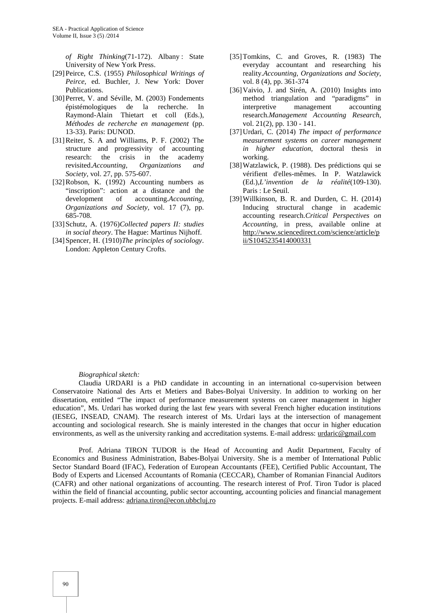*of Right Thinking*(71-172). Albany : State University of New York Press.

- [29]Peirce, C.S. (1955) *Philosophical Writings of Peirce*, ed. Buchler, J. New York: Dover Publications.
- [30] Perret, V. and Séville, M. (2003) Fondements épistémologiques de la recherche. In Raymond-Alain Thietart et coll (Eds.), *Méthodes de recherche en management* (pp. 13-33). Paris: DUNOD.
- [31]Reiter, S. A and Williams, P. F. (2002) The structure and progressivity of accounting research: the crisis in the academy revisited.*Accounting, Organizations and Society,* vol. 27, pp. 575-607.
- [32]Robson, K. (1992) Accounting numbers as "inscription": action at a distance and the development of accounting.*Accounting, Organizations and Society,* vol. 17 (7), pp. 685-708.
- [33]Schutz, A. (1976)*Collected papers II: studies in social theory*. The Hague: Martinus Nijhoff.
- [34]Spencer, H. (1910)*The principles of sociology*. London: Appleton Century Crofts.
- [35]Tomkins, C. and Groves, R. (1983) The everyday accountant and researching his reality.*Accounting, Organizations and Society*, vol. 8 (4), pp. 361-374
- [36]Vaivio, J. and Sirén, A. (2010) Insights into method triangulation and "paradigms" in interpretive management accounting research.*Management Accounting Research*, vol. 21(2), pp. 130 - 141.
- [37]Urdari, C. (2014) *The impact of performance measurement systems on career management in higher education*, doctoral thesis in working.
- [38]Watzlawick, P. (1988). Des prédictions qui se vérifient d'elles-mêmes. In P. Watzlawick (Ed.),*L'invention de la réalité*(109-130). Paris : Le Seuil.
- [39]Willkinson, B. R. and Durden, C. H. (2014) Inducing structural change in academic accounting research.*Critical Perspectives on Accounting,* in press, available online at http://www.sciencedirect.com/science/article/p ii/S1045235414000331

#### *Biographical sketch:*

Claudia URDARI is a PhD candidate in accounting in an international co-supervision between Conservatoire National des Arts et Metiers and Babes-Bolyai University. In addition to working on her dissertation, entitled "The impact of performance measurement systems on career management in higher education", Ms. Urdari has worked during the last few years with several French higher education institutions (IESEG, INSEAD, CNAM). The research interest of Ms. Urdari lays at the intersection of management accounting and sociological research. She is mainly interested in the changes that occur in higher education environments, as well as the university ranking and accreditation systems. E-mail address: urdaric@gmail.com

Prof. Adriana TIRON TUDOR is the Head of Accounting and Audit Department, Faculty of Economics and Business Administration, Babes-Bolyai University. She is a member of International Public Sector Standard Board (IFAC), Federation of European Accountants (FEE), Certified Public Accountant, The Body of Experts and Licensed Accountants of Romania (CECCAR), Chamber of Romanian Financial Auditors (CAFR) and other national organizations of accounting. The research interest of Prof. Tiron Tudor is placed within the field of financial accounting, public sector accounting, accounting policies and financial management projects. E-mail address: adriana.tiron@econ.ubbcluj.ro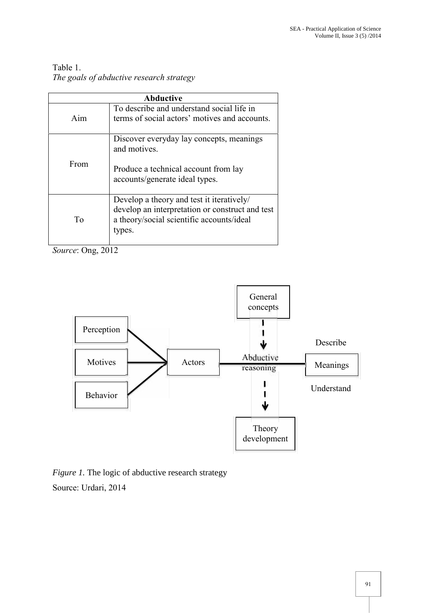## Table 1.

*The goals of abductive research strategy*

| <b>Abductive</b> |                                                                                                                                                     |
|------------------|-----------------------------------------------------------------------------------------------------------------------------------------------------|
| Aim              | To describe and understand social life in<br>terms of social actors' motives and accounts.                                                          |
| From             | Discover everyday lay concepts, meanings<br>and motives.                                                                                            |
|                  | Produce a technical account from lay<br>accounts/generate ideal types.                                                                              |
| Tο               | Develop a theory and test it iteratively/<br>develop an interpretation or construct and test<br>a theory/social scientific accounts/ideal<br>types. |

*Source*: Ong, 2012



*Figure 1.* The logic of abductive research strategy Source: Urdari, 2014